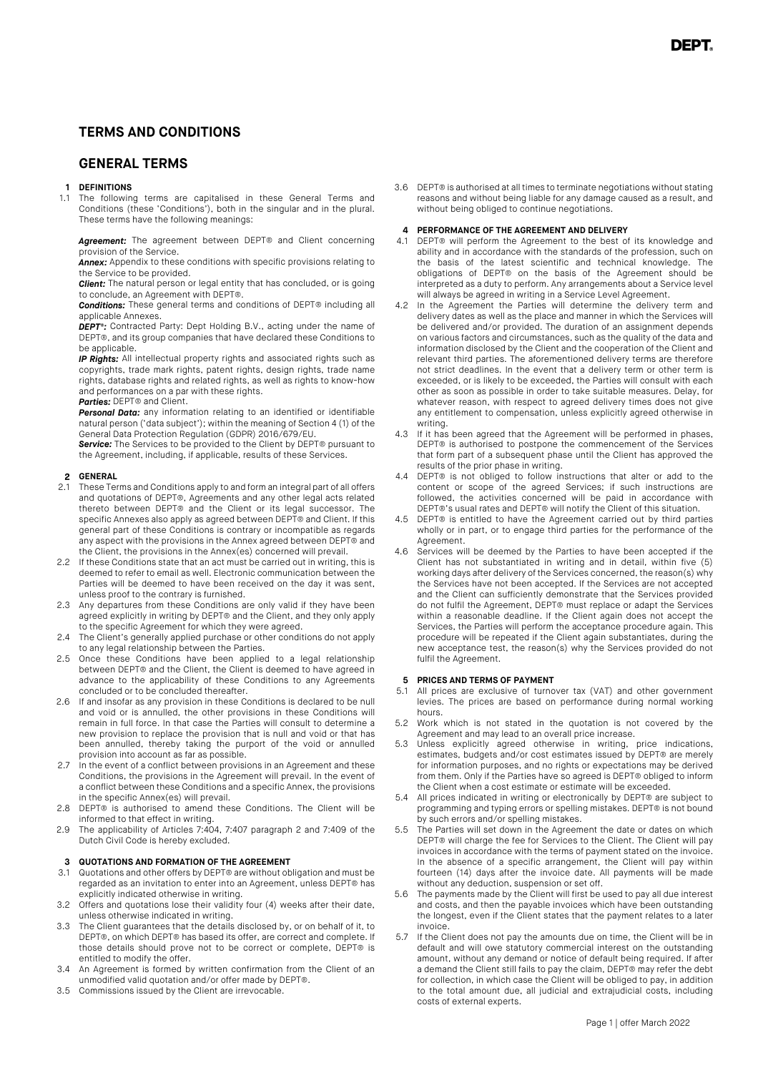### **TERMS AND CONDITIONS**

### **GENERAL TERMS**

#### **1 DEFINITIONS**

1.1 The following terms are capitalised in these General Terms and Conditions (these 'Conditions'), both in the singular and in the plural. These terms have the following meanings:

*Agreement:* The agreement between DEPT® and Client concerning provision of the Service.

*Annex:* Appendix to these conditions with specific provisions relating to the Service to be provided.

*Client:* The natural person or legal entity that has concluded, or is going

to conclude, an Agreement with DEPT®. *Conditions:* These general terms and conditions of DEPT® including all applicable Annexes.

*DEPT®:* Contracted Party: Dept Holding B.V., acting under the name of DEPT®, and its group companies that have declared these Conditions to be applicable.

*IP Rights:* All intellectual property rights and associated rights such as copyrights, trade mark rights, patent rights, design rights, trade name rights, database rights and related rights, as well as rights to know-how and performances on a par with these rights.

*Parties:* DEPT® and Client.

*Personal Data:* any information relating to an identified or identifiable natural person ('data subject'); within the meaning of Section 4 (1) of the General Data Protection Regulation (GDPR) 2016/679/EU.

**Service:** The Services to be provided to the Client by DEPT® pursuant to the Agreement, including, if applicable, results of these Services.

## **2 GENERAL**<br>21 These Ter

- 2.1 These Terms and Conditions apply to and form an integral part of all offers and quotations of DEPT®, Agreements and any other legal acts related thereto between DEPT® and the Client or its legal successor. The specific Annexes also apply as agreed between DEPT® and Client. If this general part of these Conditions is contrary or incompatible as regards any aspect with the provisions in the Annex agreed between DEPT® and the Client, the provisions in the Annex(es) concerned will prevail.
- 2.2 If these Conditions state that an act must be carried out in writing, this is deemed to refer to email as well. Electronic communication between the Parties will be deemed to have been received on the day it was sent, unless proof to the contrary is furnished.
- 2.3 Any departures from these Conditions are only valid if they have been agreed explicitly in writing by DEPT® and the Client, and they only apply to the specific Agreement for which they were agreed.
- 2.4 The Client's generally applied purchase or other conditions do not apply to any legal relationship between the Parties.
- 2.5 Once these Conditions have been applied to a legal relationship between DEPT® and the Client, the Client is deemed to have agreed in advance to the applicability of these Conditions to any Agreements concluded or to be concluded thereafter.
- 2.6 If and insofar as any provision in these Conditions is declared to be null and void or is annulled, the other provisions in these Conditions will remain in full force. In that case the Parties will consult to determine a new provision to replace the provision that is null and void or that has been annulled, thereby taking the purport of the void or annulled provision into account as far as possible.
- 2.7 In the event of a conflict between provisions in an Agreement and these Conditions, the provisions in the Agreement will prevail. In the event of a conflict between these Conditions and a specific Annex, the provisions in the specific Annex(es) will prevail.
- 2.8 DEPT® is authorised to amend these Conditions. The Client will be informed to that effect in writing.
- 2.9 The applicability of Articles 7:404, 7:407 paragraph 2 and 7:409 of the Dutch Civil Code is hereby excluded.

# **3 QUOTATIONS AND FORMATION OF THE AGREEMENT**<br>**3.1** Quotations and other offers by DEPT® are without ob

- Quotations and other offers by DEPT® are without obligation and must be regarded as an invitation to enter into an Agreement, unless DEPT® has explicitly indicated otherwise in writing.
- 3.2 Offers and quotations lose their validity four (4) weeks after their date, unless otherwise indicated in writing.
- 3.3 The Client guarantees that the details disclosed by, or on behalf of it, to DEPT®, on which DEPT® has based its offer, are correct and complete. If those details should prove not to be correct or complete, DEPT® is entitled to modify the offer.
- 3.4 An Agreement is formed by written confirmation from the Client of an unmodified valid quotation and/or offer made by DEPT®.
- 3.5 Commissions issued by the Client are irrevocable.

3.6 DEPT® is authorised at all times to terminate negotiations without stating reasons and without being liable for any damage caused as a result, and without being obliged to continue negotiations.

#### **4 PERFORMANCE OF THE AGREEMENT AND DELIVERY**

- 4.1 DEPT® will perform the Agreement to the best of its knowledge and ability and in accordance with the standards of the profession, such on the basis of the latest scientific and technical knowledge. The obligations of DEPT® on the basis of the Agreement should be interpreted as a duty to perform. Any arrangements about a Service level will always be agreed in writing in a Service Level Agreement.
- 4.2 In the Agreement the Parties will determine the delivery term and delivery dates as well as the place and manner in which the Services will be delivered and/or provided. The duration of an assignment depends on various factors and circumstances, such as the quality of the data and information disclosed by the Client and the cooperation of the Client and relevant third parties. The aforementioned delivery terms are therefore not strict deadlines. In the event that a delivery term or other term is exceeded, or is likely to be exceeded, the Parties will consult with each other as soon as possible in order to take suitable measures. Delay, for whatever reason, with respect to agreed delivery times does not give any entitlement to compensation, unless explicitly agreed otherwise in writing.
- 4.3 If it has been agreed that the Agreement will be performed in phases, DEPT® is authorised to postpone the commencement of the Services that form part of a subsequent phase until the Client has approved the results of the prior phase in writing.
- 4.4 DEPT® is not obliged to follow instructions that alter or add to the content or scope of the agreed Services; if such instructions are followed, the activities concerned will be paid in accordance with DEPT®'s usual rates and DEPT® will notify the Client of this situation.
- 4.5 DEPT® is entitled to have the Agreement carried out by third parties wholly or in part, or to engage third parties for the performance of the Agreement.
- 4.6 Services will be deemed by the Parties to have been accepted if the Client has not substantiated in writing and in detail, within five (5) working days after delivery of the Services concerned, the reason(s) why the Services have not been accepted. If the Services are not accepted and the Client can sufficiently demonstrate that the Services provided do not fulfil the Agreement, DEPT® must replace or adapt the Services within a reasonable deadline. If the Client again does not accept the Services, the Parties will perform the acceptance procedure again. This procedure will be repeated if the Client again substantiates, during the new acceptance test, the reason(s) why the Services provided do not fulfil the Agreement.

# **5 PRICES AND TERMS OF PAYMENT**<br>5.1 All prices are exclusive of turno

- 5.1 All prices are exclusive of turnover tax (VAT) and other government levies. The prices are based on performance during normal working hours.
- 5.2 Work which is not stated in the quotation is not covered by the Agreement and may lead to an overall price increase.
- 5.3 Unless explicitly agreed otherwise in writing, price indications, estimates, budgets and/or cost estimates issued by DEPT® are merely for information purposes, and no rights or expectations may be derived from them. Only if the Parties have so agreed is DEPT® obliged to inform the Client when a cost estimate or estimate will be exceeded.
- 5.4 All prices indicated in writing or electronically by DEPT® are subject to programming and typing errors or spelling mistakes. DEPT® is not bound by such errors and/or spelling mistakes.
- The Parties will set down in the Agreement the date or dates on which DEPT® will charge the fee for Services to the Client. The Client will pay invoices in accordance with the terms of payment stated on the invoice. In the absence of a specific arrangement, the Client will pay within fourteen (14) days after the invoice date. All payments will be made without any deduction, suspension or set off.
- The payments made by the Client will first be used to pay all due interest and costs, and then the payable invoices which have been outstanding the longest, even if the Client states that the payment relates to a later invoice.
- If the Client does not pay the amounts due on time, the Client will be in default and will owe statutory commercial interest on the outstanding amount, without any demand or notice of default being required. If after a demand the Client still fails to pay the claim, DEPT® may refer the debt for collection, in which case the Client will be obliged to pay, in addition to the total amount due, all judicial and extrajudicial costs, including costs of external experts.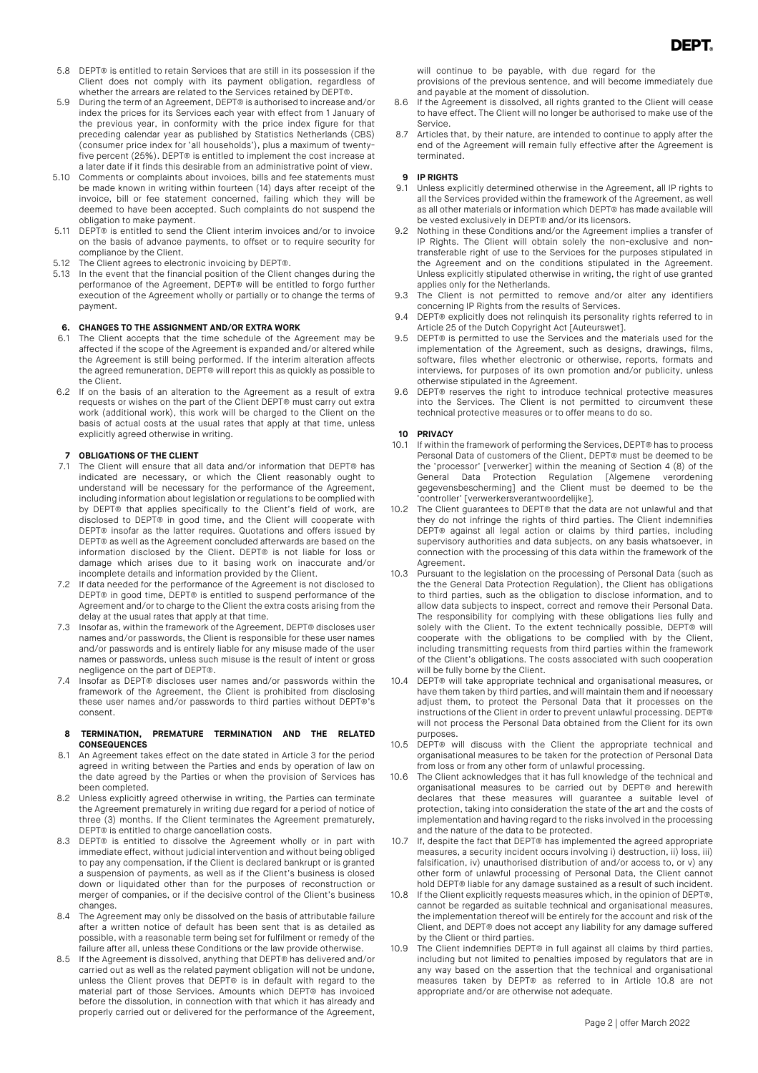- 5.9 During the term of an Agreement, DEPT® is authorised to increase and/or index the prices for its Services each year with effect from 1 January of the previous year, in conformity with the price index figure for that preceding calendar year as published by Statistics Netherlands (CBS) (consumer price index for 'all households'), plus a maximum of twentyfive percent (25%). DEPT® is entitled to implement the cost increase at a later date if it finds this desirable from an administrative point of view.
- 5.10 Comments or complaints about invoices, bills and fee statements must be made known in writing within fourteen (14) days after receipt of the invoice, bill or fee statement concerned, failing which they will be deemed to have been accepted. Such complaints do not suspend the obligation to make payment.
- 5.11 DEPT® is entitled to send the Client interim invoices and/or to invoice on the basis of advance payments, to offset or to require security for compliance by the Client.
- 5.12 The Client agrees to electronic invoicing by DEPT®.
- 5.13 In the event that the financial position of the Client changes during the performance of the Agreement, DEPT® will be entitled to forgo further execution of the Agreement wholly or partially or to change the terms of payment.

#### **6. CHANGES TO THE ASSIGNMENT AND/OR EXTRA WORK**

- 6.1 The Client accepts that the time schedule of the Agreement may be affected if the scope of the Agreement is expanded and/or altered while the Agreement is still being performed. If the interim alteration affects the agreed remuneration, DEPT® will report this as quickly as possible to the Client.
- 6.2 If on the basis of an alteration to the Agreement as a result of extra requests or wishes on the part of the Client DEPT® must carry out extra work (additional work), this work will be charged to the Client on the basis of actual costs at the usual rates that apply at that time, unless explicitly agreed otherwise in writing.

#### **7 OBLIGATIONS OF THE CLIENT**

- 7.1 The Client will ensure that all data and/or information that DEPT® has indicated are necessary, or which the Client reasonably ought to understand will be necessary for the performance of the Agreement, including information about legislation or regulations to be complied with by DEPT® that applies specifically to the Client's field of work, are disclosed to DEPT® in good time, and the Client will cooperate with DEPT® insofar as the latter requires. Quotations and offers issued by DEPT® as well as the Agreement concluded afterwards are based on the information disclosed by the Client. DEPT® is not liable for loss or damage which arises due to it basing work on inaccurate and/or incomplete details and information provided by the Client.
- 7.2 If data needed for the performance of the Agreement is not disclosed to DEPT® in good time, DEPT® is entitled to suspend performance of the Agreement and/or to charge to the Client the extra costs arising from the delay at the usual rates that apply at that time.
- 7.3 Insofar as, within the framework of the Agreement, DEPT® discloses user names and/or passwords, the Client is responsible for these user names and/or passwords and is entirely liable for any misuse made of the user names or passwords, unless such misuse is the result of intent or gross negligence on the part of DEPT®.
- 7.4 Insofar as DEPT® discloses user names and/or passwords within the framework of the Agreement, the Client is prohibited from disclosing these user names and/or passwords to third parties without DEPT®'s consent.

#### **8 TERMINATION, PREMATURE TERMINATION AND THE RELATED CONSEQUENCES**

- 8.1 An Agreement takes effect on the date stated in Article 3 for the period agreed in writing between the Parties and ends by operation of law on the date agreed by the Parties or when the provision of Services has been completed.
- 8.2 Unless explicitly agreed otherwise in writing, the Parties can terminate the Agreement prematurely in writing due regard for a period of notice of three (3) months. If the Client terminates the Agreement prematurely, DEPT® is entitled to charge cancellation costs.
- 8.3 DEPT® is entitled to dissolve the Agreement wholly or in part with immediate effect, without judicial intervention and without being obliged to pay any compensation, if the Client is declared bankrupt or is granted a suspension of payments, as well as if the Client's business is closed down or liquidated other than for the purposes of reconstruction or merger of companies, or if the decisive control of the Client's business changes.
- The Agreement may only be dissolved on the basis of attributable failure after a written notice of default has been sent that is as detailed as possible, with a reasonable term being set for fulfilment or remedy of the failure after all, unless these Conditions or the law provide otherwise.
- If the Agreement is dissolved, anything that DEPT® has delivered and/or carried out as well as the related payment obligation will not be undone, unless the Client proves that DEPT® is in default with regard to the material part of those Services. Amounts which DEPT® has invoiced before the dissolution, in connection with that which it has already and properly carried out or delivered for the performance of the Agreement,

will continue to be payable, with due regard for the provisions of the previous sentence, and will become immediately due

- and payable at the moment of dissolution. 8.6 If the Agreement is dissolved, all rights granted to the Client will cease
- to have effect. The Client will no longer be authorised to make use of the Service.
- 8.7 Articles that, by their nature, are intended to continue to apply after the end of the Agreement will remain fully effective after the Agreement is terminated.

## **9 IP RIGHTS**

- Unless explicitly determined otherwise in the Agreement, all IP rights to all the Services provided within the framework of the Agreement, as well as all other materials or information which DEPT® has made available will be vested exclusively in DEPT® and/or its licensors.
- 9.2 Nothing in these Conditions and/or the Agreement implies a transfer of IP Rights. The Client will obtain solely the non-exclusive and nontransferable right of use to the Services for the purposes stipulated in the Agreement and on the conditions stipulated in the Agreement. Unless explicitly stipulated otherwise in writing, the right of use granted applies only for the Netherlands.
- 9.3 The Client is not permitted to remove and/or alter any identifiers concerning IP Rights from the results of Services.
- 9.4 DEPT® explicitly does not relinquish its personality rights referred to in Article 25 of the Dutch Copyright Act [Auteurswet].
- 9.5 DEPT® is permitted to use the Services and the materials used for the implementation of the Agreement, such as designs, drawings, films, software, files whether electronic or otherwise, reports, formats and interviews, for purposes of its own promotion and/or publicity, unless otherwise stipulated in the Agreement.
- 9.6 DEPT® reserves the right to introduce technical protective measures into the Services. The Client is not permitted to circumvent these technical protective measures or to offer means to do so.

#### **10 PRIVACY**

- 10.1 If within the framework of performing the Services, DEPT® has to process Personal Data of customers of the Client, DEPT® must be deemed to be the 'processor' [verwerker] within the meaning of Section 4 (8) of the General Data Protection Regulation [Algemene verordening gegevensbescherming] and the Client must be deemed to be the 'controller' [verwerkersverantwoordelijke].
- 10.2 The Client guarantees to DEPT® that the data are not unlawful and that they do not infringe the rights of third parties. The Client indemnifies DEPT® against all legal action or claims by third parties, including supervisory authorities and data subiects, on any basis whatsoever, in connection with the processing of this data within the framework of the Agreement.
- 10.3 Pursuant to the legislation on the processing of Personal Data (such as the the General Data Protection Regulation), the Client has obligations to third parties, such as the obligation to disclose information, and to allow data subjects to inspect, correct and remove their Personal Data. The responsibility for complying with these obligations lies fully and solely with the Client. To the extent technically possible, DEPT® will cooperate with the obligations to be complied with by the Client, including transmitting requests from third parties within the framework of the Client's obligations. The costs associated with such cooperation will be fully borne by the Client.
- 10.4 DEPT® will take appropriate technical and organisational measures, or have them taken by third parties, and will maintain them and if necessary adjust them, to protect the Personal Data that it processes on the instructions of the Client in order to prevent unlawful processing. DEPT® will not process the Personal Data obtained from the Client for its own purposes.
- 10.5 DEPT® will discuss with the Client the appropriate technical and organisational measures to be taken for the protection of Personal Data from loss or from any other form of unlawful processing.
- 10.6 The Client acknowledges that it has full knowledge of the technical and organisational measures to be carried out by DEPT® and herewith declares that these measures will guarantee a suitable level of protection, taking into consideration the state of the art and the costs of implementation and having regard to the risks involved in the processing and the nature of the data to be protected.
- 10.7 If, despite the fact that DEPT® has implemented the agreed appropriate measures, a security incident occurs involving i) destruction, ii) loss, iii) falsification, iv) unauthorised distribution of and/or access to, or v) any other form of unlawful processing of Personal Data, the Client cannot hold DEPT® liable for any damage sustained as a result of such incident.
- 10.8 If the Client explicitly requests measures which, in the opinion of DEPT®, cannot be regarded as suitable technical and organisational measures, the implementation thereof will be entirely for the account and risk of the Client, and DEPT® does not accept any liability for any damage suffered by the Client or third parties.
- 10.9 The Client indemnifies DEPT® in full against all claims by third parties, including but not limited to penalties imposed by regulators that are in any way based on the assertion that the technical and organisational measures taken by DEPT® as referred to in Article 10.8 are not appropriate and/or are otherwise not adequate.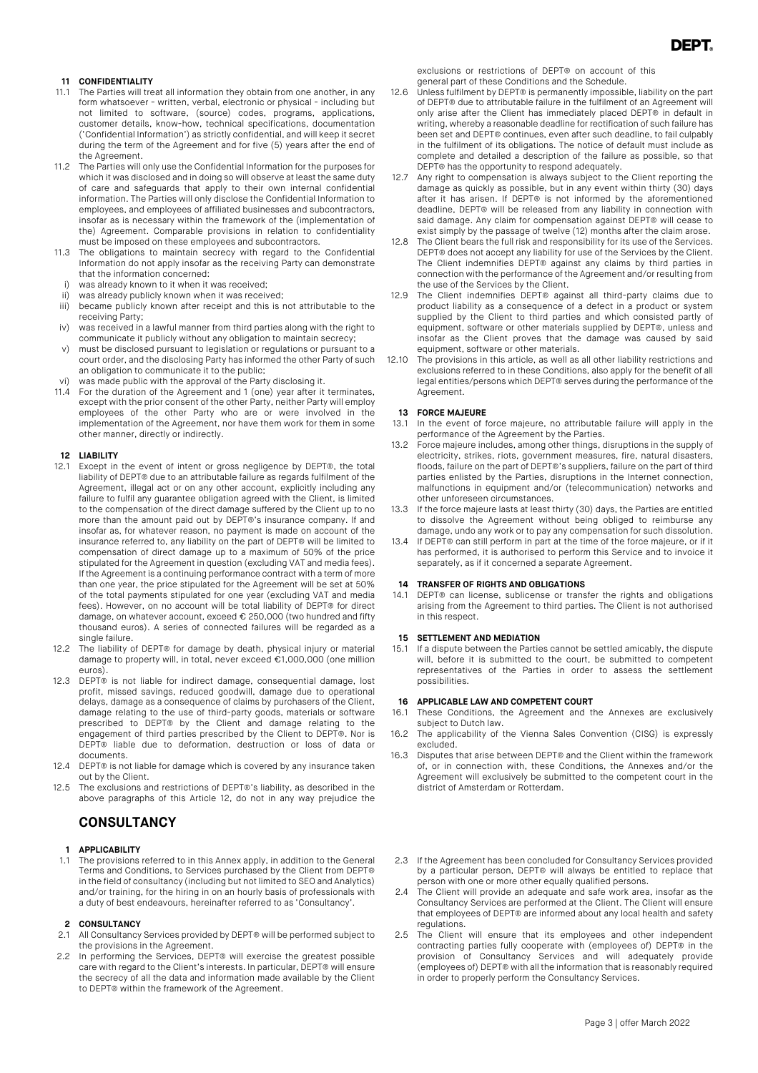### **11 CONFIDENTIALITY**

- 11.1 The Parties will treat all information they obtain from one another, in any form whatsoever - written, verbal, electronic or physical - including but not limited to software, (source) codes, programs, applications, customer details, know-how, technical specifications, documentation ('Confidential Information') as strictly confidential, and will keep it secret during the term of the Agreement and for five (5) years after the end of the Agreement.
- 11.2 The Parties will only use the Confidential Information for the purposes for which it was disclosed and in doing so will observe at least the same duty of care and safeguards that apply to their own internal confidential information. The Parties will only disclose the Confidential Information to employees, and employees of affiliated businesses and subcontractors, insofar as is necessary within the framework of the (implementation of the) Agreement. Comparable provisions in relation to confidentiality must be imposed on these employees and subcontractors.
- 11.3 The obligations to maintain secrecy with regard to the Confidential Information do not apply insofar as the receiving Party can demonstrate that the information concerned:
- was already known to it when it was received;
- 
- ii) was already publicly known when it was received;<br>iii) became publicly known after receipt and this is r became publicly known after receipt and this is not attributable to the receiving Party;
- iv) was received in a lawful manner from third parties along with the right to communicate it publicly without any obligation to maintain secrecy;
- v) must be disclosed pursuant to legislation or regulations or pursuant to a court order, and the disclosing Party has informed the other Party of such an obligation to communicate it to the public;
- vi) was made public with the approval of the Party disclosing it.
- 11.4 For the duration of the Agreement and 1 (one) year after it terminates, except with the prior consent of the other Party, neither Party will employ employees of the other Party who are or were involved in the implementation of the Agreement, nor have them work for them in some other manner, directly or indirectly.

#### **12 LIABILITY**

- 12.1 Except in the event of intent or gross negligence by DEPT®, the total liability of DEPT® due to an attributable failure as regards fulfilment of the Agreement, illegal act or on any other account, explicitly including any failure to fulfil any guarantee obligation agreed with the Client, is limited to the compensation of the direct damage suffered by the Client up to no more than the amount paid out by DEPT®'s insurance company. If and insofar as, for whatever reason, no payment is made on account of the insurance referred to, any liability on the part of DEPT® will be limited to compensation of direct damage up to a maximum of 50% of the price stipulated for the Agreement in question (excluding VAT and media fees). If the Agreement is a continuing performance contract with a term of more than one year, the price stipulated for the Agreement will be set at 50% of the total payments stipulated for one year (excluding VAT and media fees). However, on no account will be total liability of DEPT® for direct damage, on whatever account, exceed € 250,000 (two hundred and fifty thousand euros). A series of connected failures will be regarded as a single failure.
- 12.2 The liability of DEPT® for damage by death, physical injury or material damage to property will, in total, never exceed €1,000,000 (one million euros).
- 12.3 DEPT® is not liable for indirect damage, consequential damage, lost profit, missed savings, reduced goodwill, damage due to operational delays, damage as a consequence of claims by purchasers of the Client, damage relating to the use of third-party goods, materials or software prescribed to DEPT® by the Client and damage relating to the engagement of third parties prescribed by the Client to DEPT®. Nor is DEPT® liable due to deformation, destruction or loss of data or documents.
- 12.4 DEPT® is not liable for damage which is covered by any insurance taken out by the Client.
- 12.5 The exclusions and restrictions of DEPT®'s liability, as described in the above paragraphs of this Article 12, do not in any way prejudice the

### **CONSULTANCY**

#### **1 APPLICABILITY**

1.1 The provisions referred to in this Annex apply, in addition to the General Terms and Conditions, to Services purchased by the Client from DEPT® in the field of consultancy (including but not limited to SEO and Analytics) and/or training, for the hiring in on an hourly basis of professionals with a duty of best endeavours, hereinafter referred to as 'Consultancy'.

#### **2 CONSULTANCY**

- 2.1 All Consultancy Services provided by DEPT® will be performed subject to the provisions in the Agreement.
- 2.2 In performing the Services, DEPT® will exercise the greatest possible care with regard to the Client's interests. In particular, DEPT® will ensure the secrecy of all the data and information made available by the Client to DEPT® within the framework of the Agreement.

exclusions or restrictions of DEPT® on account of this general part of these Conditions and the Schedule.

- 12.6 Unless fulfilment by DEPT® is permanently impossible, liability on the part of DEPT® due to attributable failure in the fulfilment of an Agreement will only arise after the Client has immediately placed DEPT® in default in writing, whereby a reasonable deadline for rectification of such failure has been set and DEPT® continues, even after such deadline, to fail culpably in the fulfilment of its obligations. The notice of default must include as complete and detailed a description of the failure as possible, so that DEPT® has the opportunity to respond adequately.
- 12.7 Any right to compensation is always subject to the Client reporting the damage as quickly as possible, but in any event within thirty (30) days after it has arisen. If DEPT® is not informed by the aforementioned deadline, DEPT® will be released from any liability in connection with said damage. Any claim for compensation against DEPT® will cease to exist simply by the passage of twelve (12) months after the claim arose.
- 12.8 The Client bears the full risk and responsibility for its use of the Services. DEPT® does not accept any liability for use of the Services by the Client. The Client indemnifies DEPT® against any claims by third parties in connection with the performance of the Agreement and/or resulting from the use of the Services by the Client.
- 12.9 The Client indemnifies DEPT® against all third-party claims due to product liability as a consequence of a defect in a product or system supplied by the Client to third parties and which consisted partly of equipment, software or other materials supplied by DEPT®, unless and insofar as the Client proves that the damage was caused by said equipment, software or other materials.
- 12.10 The provisions in this article, as well as all other liability restrictions and exclusions referred to in these Conditions, also apply for the benefit of all legal entities/persons which DEPT® serves during the performance of the Agreement.

#### **13 FORCE MAJEURE**

- 13.1 In the event of force majeure, no attributable failure will apply in the performance of the Agreement by the Parties.
- 13.2 Force majeure includes, among other things, disruptions in the supply of electricity, strikes, riots, government measures, fire, natural disasters, floods, failure on the part of DEPT®'s suppliers, failure on the part of third parties enlisted by the Parties, disruptions in the Internet connection, malfunctions in equipment and/or (telecommunication) networks and other unforeseen circumstances.
- 13.3 If the force majeure lasts at least thirty (30) days, the Parties are entitled to dissolve the Agreement without being obliged to reimburse any damage, undo any work or to pay any compensation for such dissolution.
- 13.4 If DEPT® can still perform in part at the time of the force majeure, or if it has performed, it is authorised to perform this Service and to invoice it separately, as if it concerned a separate Agreement.

#### **14 TRANSFER OF RIGHTS AND OBLIGATIONS**

14.1 DEPT® can license, sublicense or transfer the rights and obligations arising from the Agreement to third parties. The Client is not authorised in this respect.

#### **15 SETTLEMENT AND MEDIATION**

15.1 If a dispute between the Parties cannot be settled amicably, the dispute will, before it is submitted to the court, be submitted to competent representatives of the Parties in order to assess the settlement possibilities.

#### **16 APPLICABLE LAW AND COMPETENT COURT**

- 16.1 These Conditions, the Agreement and the Annexes are exclusively subject to Dutch law.
- 16.2 The applicability of the Vienna Sales Convention (CISG) is expressly excluded.
- 16.3 Disputes that arise between DEPT® and the Client within the framework of, or in connection with, these Conditions, the Annexes and/or the Agreement will exclusively be submitted to the competent court in the district of Amsterdam or Rotterdam.
- 2.3 If the Agreement has been concluded for Consultancy Services provided by a particular person, DEPT® will always be entitled to replace that person with one or more other equally qualified persons.
- 2.4 The Client will provide an adequate and safe work area, insofar as the Consultancy Services are performed at the Client. The Client will ensure that employees of DEPT® are informed about any local health and safety regulations.
- 2.5 The Client will ensure that its employees and other independent contracting parties fully cooperate with (employees of) DEPT® in the provision of Consultancy Services and will adequately provide (employees of) DEPT® with all the information that is reasonably required in order to properly perform the Consultancy Services.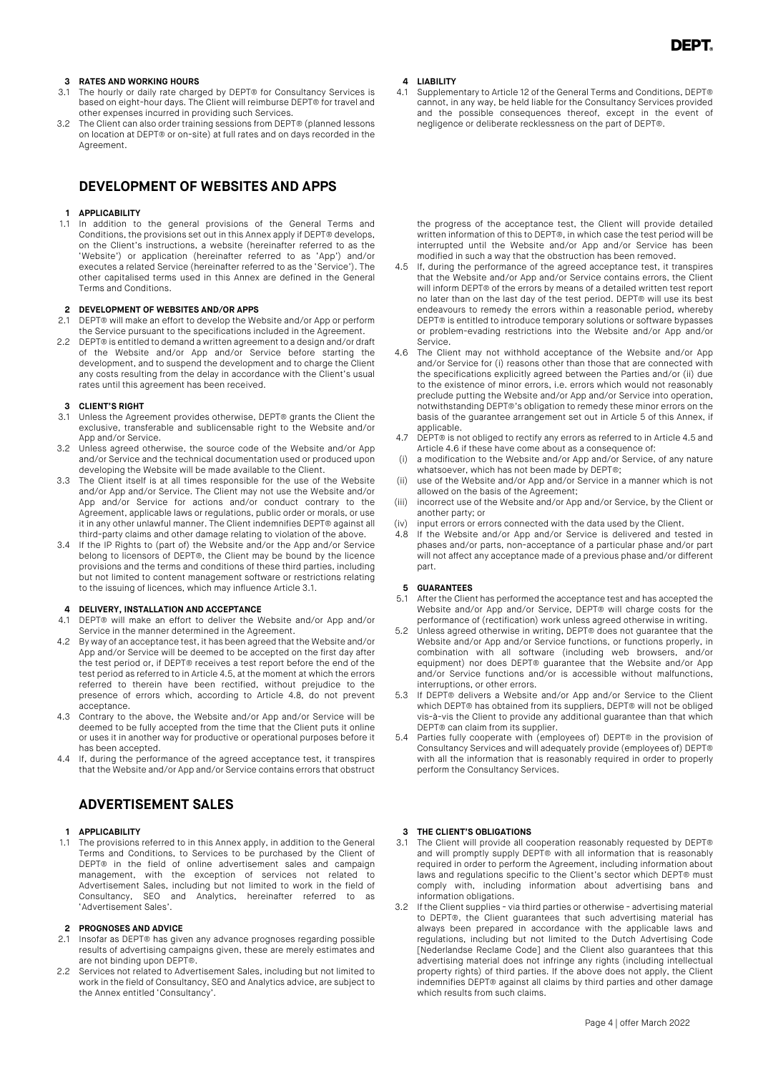#### **3 RATES AND WORKING HOURS**

- 3.1 The hourly or daily rate charged by DEPT® for Consultancy Services is based on eight-hour days. The Client will reimburse DEPT® for travel and other expenses incurred in providing such Services.
- 3.2 The Client can also order training sessions from DEPT® (planned lessons on location at DEPT® or on-site) at full rates and on days recorded in the Agreement.

### **DEVELOPMENT OF WEBSITES AND APPS**

#### **1 APPLICABILITY**

1.1 In addition to the general provisions of the General Terms and Conditions, the provisions set out in this Annex apply if DEPT® develops, on the Client's instructions, a website (hereinafter referred to as the 'Website') or application (hereinafter referred to as 'App') and/or executes a related Service (hereinafter referred to as the 'Service'). The other capitalised terms used in this Annex are defined in the General Terms and Conditions.

#### **2 DEVELOPMENT OF WEBSITES AND/OR APPS**

- 2.1 DEPT® will make an effort to develop the Website and/or App or perform the Service pursuant to the specifications included in the Agreement.
- 2.2 DEPT® is entitled to demand a written agreement to a design and/or draft of the Website and/or App and/or Service before starting the development, and to suspend the development and to charge the Client any costs resulting from the delay in accordance with the Client's usual rates until this agreement has been received.

#### **3 CLIENT'S RIGHT**

- 3.1 Unless the Agreement provides otherwise, DEPT® grants the Client the exclusive, transferable and sublicensable right to the Website and/or App and/or Service.
- 3.2 Unless agreed otherwise, the source code of the Website and/or App and/or Service and the technical documentation used or produced upon developing the Website will be made available to the Client.
- 3.3 The Client itself is at all times responsible for the use of the Website and/or App and/or Service. The Client may not use the Website and/or App and/or Service for actions and/or conduct contrary to the Agreement, applicable laws or regulations, public order or morals, or use it in any other unlawful manner. The Client indemnifies DEPT® against all third-party claims and other damage relating to violation of the above.
- 3.4 If the IP Rights to (part of) the Website and/or the App and/or Service belong to licensors of DEPT®, the Client may be bound by the licence provisions and the terms and conditions of these third parties, including but not limited to content management software or restrictions relating to the issuing of licences, which may influence Article 3.1.

# **4 DELIVERY, INSTALLATION AND ACCEPTANCE**<br>**4.1** DEPT® will make an effort to deliver the V

- 4.1 DEPT® will make an effort to deliver the Website and/or App and/or Service in the manner determined in the Agreement.
- 4.2 By way of an acceptance test, it has been agreed that the Website and/or App and/or Service will be deemed to be accepted on the first day after the test period or, if DEPT® receives a test report before the end of the test period as referred to in Article 4.5, at the moment at which the errors referred to therein have been rectified, without prejudice to the presence of errors which, according to Article 4.8, do not prevent acceptance.
- 4.3 Contrary to the above, the Website and/or App and/or Service will be deemed to be fully accepted from the time that the Client puts it online or uses it in another way for productive or operational purposes before it has been accepted.
- 4.4 If, during the performance of the agreed acceptance test, it transpires that the Website and/or App and/or Service contains errors that obstruct

## **ADVERTISEMENT SALES**

## **1 APPLICABILITY**

The provisions referred to in this Annex apply, in addition to the General Terms and Conditions, to Services to be purchased by the Client of DEPT® in the field of online advertisement sales and campaign management, with the exception of services not related to Advertisement Sales, including but not limited to work in the field of Consultancy, SEO and Analytics, hereinafter referred to as 'Advertisement Sales'.

## **2 PROGNOSES AND ADVICE**<br>2.1 **Insofar as DEPT®** has give

- Insofar as DEPT® has given any advance prognoses regarding possible results of advertising campaigns given, these are merely estimates and are not binding upon DEPT®.
- 2.2 Services not related to Advertisement Sales, including but not limited to work in the field of Consultancy, SEO and Analytics advice, are subject to the Annex entitled 'Consultancy'.

#### **4 LIABILITY**

4.1 Supplementary to Article 12 of the General Terms and Conditions, DEPT® cannot, in any way, be held liable for the Consultancy Services provided and the possible consequences thereof, except in the event of negligence or deliberate recklessness on the part of DEPT®.

the progress of the acceptance test, the Client will provide detailed written information of this to DEPT®, in which case the test period will be interrupted until the Website and/or App and/or Service has been modified in such a way that the obstruction has been removed.

- 4.5 If, during the performance of the agreed acceptance test, it transpires that the Website and/or App and/or Service contains errors, the Client will inform DEPT® of the errors by means of a detailed written test report no later than on the last day of the test period. DEPT® will use its best endeavours to remedy the errors within a reasonable period, whereby DEPT® is entitled to introduce temporary solutions or software bypasses or problem-evading restrictions into the Website and/or App and/or Service.
- 4.6 The Client may not withhold acceptance of the Website and/or App and/or Service for (i) reasons other than those that are connected with the specifications explicitly agreed between the Parties and/or (ii) due to the existence of minor errors, i.e. errors which would not reasonably preclude putting the Website and/or App and/or Service into operation, notwithstanding DEPT®'s obligation to remedy these minor errors on the basis of the guarantee arrangement set out in Article 5 of this Annex, if applicable.
- 4.7 DEPT® is not obliged to rectify any errors as referred to in Article 4.5 and Article 4.6 if these have come about as a consequence of:
- (i) a modification to the Website and/or App and/or Service, of any nature whatsoever, which has not been made by DEPT®;
- use of the Website and/or App and/or Service in a manner which is not allowed on the basis of the Agreement;
- (iii) incorrect use of the Website and/or App and/or Service, by the Client or another party; or
- (iv) input errors or errors connected with the data used by the Client.
- 4.8 If the Website and/or App and/or Service is delivered and tested in phases and/or parts, non-acceptance of a particular phase and/or part will not affect any acceptance made of a previous phase and/or different part.

#### **5 GUARANTEES**

- 5.1 After the Client has performed the acceptance test and has accepted the Website and/or App and/or Service, DEPT® will charge costs for the performance of (rectification) work unless agreed otherwise in writing.
- 5.2 Unless agreed otherwise in writing, DEPT® does not guarantee that the Website and/or App and/or Service functions, or functions properly, in combination with all software (including web browsers, and/or equipment) nor does DEPT® guarantee that the Website and/or App and/or Service functions and/or is accessible without malfunctions, interruptions, or other errors.
- 5.3 If DEPT® delivers a Website and/or App and/or Service to the Client which DEPT® has obtained from its suppliers, DEPT® will not be obliged vis-à-vis the Client to provide any additional guarantee than that which DEPT<sup>®</sup> can claim from its supplier.
- 5.4 Parties fully cooperate with (employees of) DEPT® in the provision of Consultancy Services and will adequately provide (employees of) DEPT® with all the information that is reasonably required in order to properly perform the Consultancy Services.

## **3 THE CLIENT'S OBLIGATIONS**<br>**3.1** The Client will provide all co

- The Client will provide all cooperation reasonably requested by DEPT® and will promptly supply DEPT® with all information that is reasonably required in order to perform the Agreement, including information about laws and regulations specific to the Client's sector which DEPT® must comply with, including information about advertising bans and information obligations.
- 3.2 If the Client supplies via third parties or otherwise advertising material to DEPT®, the Client guarantees that such advertising material has always been prepared in accordance with the applicable laws and regulations, including but not limited to the Dutch Advertising Code [Nederlandse Reclame Code] and the Client also guarantees that this advertising material does not infringe any rights (including intellectual property rights) of third parties. If the above does not apply, the Client indemnifies DEPT® against all claims by third parties and other damage which results from such claims.